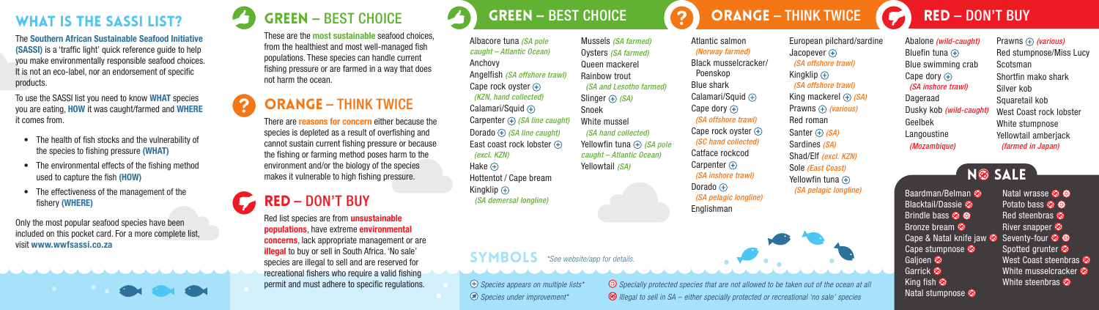The Southern African Sustainable Seafood Initiative (SASSI) is a 'traffic light' quick reference guide to help you make environmentally responsible seafood choices. It is not an eco-label, nor an endorsement of specific products.

To use the SASSI list you need to know WHAT species you are eating, HOW it was caught/farmed and WHERE it comes from.

- The health of fish stocks and the vulnerability of the species to fishing pressure (WHAT)
- The environmental effects of the fishing method used to capture the fish (HOW)
- The effectiveness of the management of the fishery (WHERE)

Only the most popular seafood species have been included on this pocket card. For a more complete list, visit www.wwfsassi.co.za



#### WHAT IS THE SASSI LIST? GREEN – BEST CHOICE **or a green – best choice orange – Think Twice (C) RED – DON'T BUY** Green – BEST CHOICE

These are the most sustainable seafood choices, from the healthiest and most well-managed fish populations. These species can handle current fishing pressure or are farmed in a way that does not harm the ocean.

# Orange – THINK TWICE

There are reasons for concern either because the species is depleted as a result of overfishing and cannot sustain current fishing pressure or because the fishing or farming method poses harm to the environment and/or the biology of the species makes it vulnerable to high fishing pressure.

# Red – DON'T BUY

Red list species are from unsustainable populations, have extreme environmental concerns, lack appropriate management or are illegal to buy or sell in South Africa. 'No sale' species are illegal to sell and are reserved for recreational fishers who require a valid fishing permit and must adhere to specific regulations.

Albacore tuna *(SA pole caught – Atlantic Ocean)* Anchovy Angelfish *(SA offshore trawl)* Cape rock oyster  $\circledast$ *(KZN, hand collected)* Calamari/Squid  $\bigoplus$ Carpenter *(SA line caught)* Dorado *(SA line caught)* East coast rock lobster  $\bigoplus$  *(excl. KZN)* Mussels *(SA farmed)* Oysters *(SA farmed)* Queen mackerel Rainbow trout *(SA and Lesotho farmed)* Slinger *(SA)* Snoek White mussel *(SA hand collected)* Yellowfin tuna  $\bigoplus$  *(SA pole*) *caught – Atlantic Ocean)* Yellowtail *(SA)*

Hake  $\bigoplus$ Hottentot / Cape bream Kingklip  $\oplus$ *(SA demersal longline)*

**SYMBOLS** \*See website/app for details.

*Species appears on multiple lists\* Specially protected species that are not allowed to be taken out of the ocean at all Species under improvement\** 

Atlantic salmon  *(Norway farmed)* Black musselcracker/ Poenskop Blue shark Calamari/Squid  $\bigoplus$ Cape dory  $\oplus$  *(SA offshore trawl)* Cape rock oyster  $\bigoplus$  *(SC hand collected)*  Catface rockcod Carpenter  $\bigoplus$  *(SA inshore trawl)* Dorado  $\oplus$  *(SA pelagic longline)* Englishman

European pilchard/sardine Jacopever  $\left( +\right)$  *(SA offshore trawl)* Kingklip  $\oplus$  *(SA offshore trawl)* King mackerel  $\oplus$  *(SA)* Prawns **(4)** (various) Red roman Santer  $\bigoplus$  *(SA)* Sardines *(SA)* Shad/Elf *(excl. KZN)* Sole *(East Coast)* Yellowfin tuna  $\bigoplus$ 



*Illegal to sell in SA – either specially protected or recreational 'no sale' species*

*(SA pelagic longline)* Baardman/Belman **C** 

Bronze bream Cape stumpnose <sup>2</sup> Galioen <sup>®</sup> Garrick<sup>®</sup> King fish  $\otimes$ Natal stumpnose **Ø** 

Geelbek Langoustine  *(Mozambique)*

Abalone *(wild-caught)* Bluefin tuna  $\left( +\right)$ Blue swimming crab Cape dory  $\left( \bigoplus \right)$  *(SA inshore trawl)* Dageraad

Dusky kob *(wild-caught)* Prawns  $\oplus$  (various) Red stumpnose/Miss Lucy Scotsman Shortfin mako shark Silver kob Squaretail kob West Coast rock lobster White stumpnose Yellowtail amberiack *(farmed in Japan)* 

Blacktail/Dassie Brindle bass **© ®** Cape & Natal knife jaw Seventy-four Natal wrasse **Ø ®** Potato bass **<sup>3</sup>** Red steenbras <sup>2</sup> River snapper Spotted grunter West Coast steenbras <sup>®</sup> White musselcracker White steenbras  $\otimes$ **NO** SALE